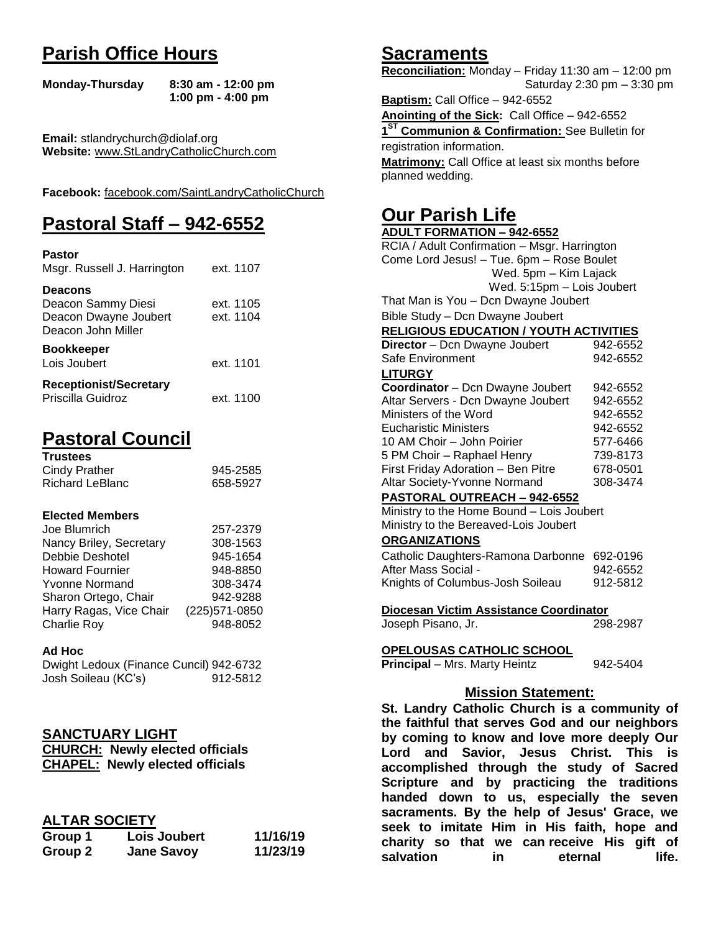## **Parish Office Hours**

```
Monday-Thursday 8:30 am - 12:00 pm
       1:00 pm - 4:00 pm
```
**Email:** stlandrychurch@diolaf.org **Website:** [www.StLandryCatholicChurch.com](http://www.stlandrycatholicchurch.com/)

**Facebook:** [facebook.com/SaintLandryCatholicChurch](http://facebook.com/SaintLandryCatholicChurch)

# **Pastoral Staff – 942-6552**

| <b>Pastor</b><br>Msgr. Russell J. Harrington                                        | ext. 1107              |
|-------------------------------------------------------------------------------------|------------------------|
| <b>Deacons</b><br>Deacon Sammy Diesi<br>Deacon Dwayne Joubert<br>Deacon John Miller | ext. 1105<br>ext. 1104 |
| <b>Bookkeeper</b><br>Lois Joubert                                                   | ext. 1101              |
| <b>Receptionist/Secretary</b><br>Priscilla Guidroz                                  | ext. 1100              |

# **Pastoral Council**

| <b>Trustees</b> |          |
|-----------------|----------|
| Cindy Prather   | 945-2585 |
| Richard LeBlanc | 658-5927 |

#### **Elected Members**

| Joe Blumrich            | 257-2379       |
|-------------------------|----------------|
| Nancy Briley, Secretary | 308-1563       |
| Debbie Deshotel         | 945-1654       |
| <b>Howard Fournier</b>  | 948-8850       |
| <b>Yvonne Normand</b>   | 308-3474       |
| Sharon Ortego, Chair    | 942-9288       |
| Harry Ragas, Vice Chair | (225) 571-0850 |
| <b>Charlie Roy</b>      | 948-8052       |

#### **Ad Hoc**

| Dwight Ledoux (Finance Cuncil) 942-6732 |          |
|-----------------------------------------|----------|
| Josh Soileau (KC's)                     | 912-5812 |

## **SANCTUARY LIGHT**

| <b>CHURCH: Newly elected officials</b> |
|----------------------------------------|
| <b>CHAPEL: Newly elected officials</b> |

## **ALTAR SOCIETY**

| Group 1 | Lois Joubert      | 11/16/19 |
|---------|-------------------|----------|
| Group 2 | <b>Jane Savoy</b> | 11/23/19 |

## **Sacraments**

**Reconciliation:** Monday – Friday 11:30 am – 12:00 pm Saturday 2:30 pm – 3:30 pm

**Baptism:** Call Office – 942-6552 **Anointing of the Sick:** Call Office – 942-6552 **1 ST Communion & Confirmation:** See Bulletin for registration information. **Matrimony:** Call Office at least six months before planned wedding.

## **Our Parish Life**

| <b>ADULT FORMATION - 942-6552</b>                      |          |  |
|--------------------------------------------------------|----------|--|
| RCIA / Adult Confirmation - Msgr. Harrington           |          |  |
| Come Lord Jesus! - Tue. 6pm - Rose Boulet              |          |  |
| Wed. 5pm - Kim Lajack                                  |          |  |
| Wed. 5:15pm - Lois Joubert                             |          |  |
| That Man is You - Dcn Dwayne Joubert                   |          |  |
| Bible Study - Dcn Dwayne Joubert                       |          |  |
| <b>RELIGIOUS EDUCATION / YOUTH ACTIVITIES</b>          |          |  |
| Director - Dcn Dwayne Joubert                          | 942-6552 |  |
| Safe Environment                                       | 942-6552 |  |
| <b>LITURGY</b>                                         |          |  |
| Coordinator - Dcn Dwayne Joubert                       | 942-6552 |  |
| Altar Servers - Dcn Dwayne Joubert                     | 942-6552 |  |
| Ministers of the Word                                  | 942-6552 |  |
| <b>Eucharistic Ministers</b>                           | 942-6552 |  |
| 10 AM Choir - John Poirier                             | 577-6466 |  |
| 5 PM Choir - Raphael Henry                             | 739-8173 |  |
| First Friday Adoration - Ben Pitre                     | 678-0501 |  |
| Altar Society-Yvonne Normand                           | 308-3474 |  |
| PASTORAL OUTREACH - 942-6552                           |          |  |
| Ministry to the Home Bound - Lois Joubert              |          |  |
| Ministry to the Bereaved-Lois Joubert                  |          |  |
| <b>ORGANIZATIONS</b>                                   |          |  |
| Catholic Daughters-Ramona Darbonne 692-0196            |          |  |
| After Mass Social -                                    | 942-6552 |  |
| Knights of Columbus-Josh Soileau                       | 912-5812 |  |
|                                                        |          |  |
| Diocesan Victim Assistance Coordinator                 |          |  |
| Joseph Pisano, Jr.                                     | 298-2987 |  |
|                                                        |          |  |
| <b>OPELOUSAS CATHOLIC SCHOOL</b>                       |          |  |
| <b>Principal</b> - Mrs. Marty Heintz                   | 942-5404 |  |
|                                                        |          |  |
| <b>Mission Statement:</b>                              |          |  |
| St. Landry Catholic Church is a community of           |          |  |
| the faithful that serves God and our neighbors         |          |  |
| by coming to know and love more deeply Our             |          |  |
| Lord and Savior, Jesus Christ.<br>This<br>is           |          |  |
| accomplished through the study of Sacred               |          |  |
| Scripture and by practicing the traditions             |          |  |
| ودماما المسامسة وا<br>وماله ووالمتلوث ومستورث والمراجع |          |  |

**Scripture and by practicing the traditions handed down to us, especially the seven sacraments. By the help of Jesus' Grace, we seek to imitate Him in His faith, hope and charity so that we can receive His gift of salvation** in eternal life.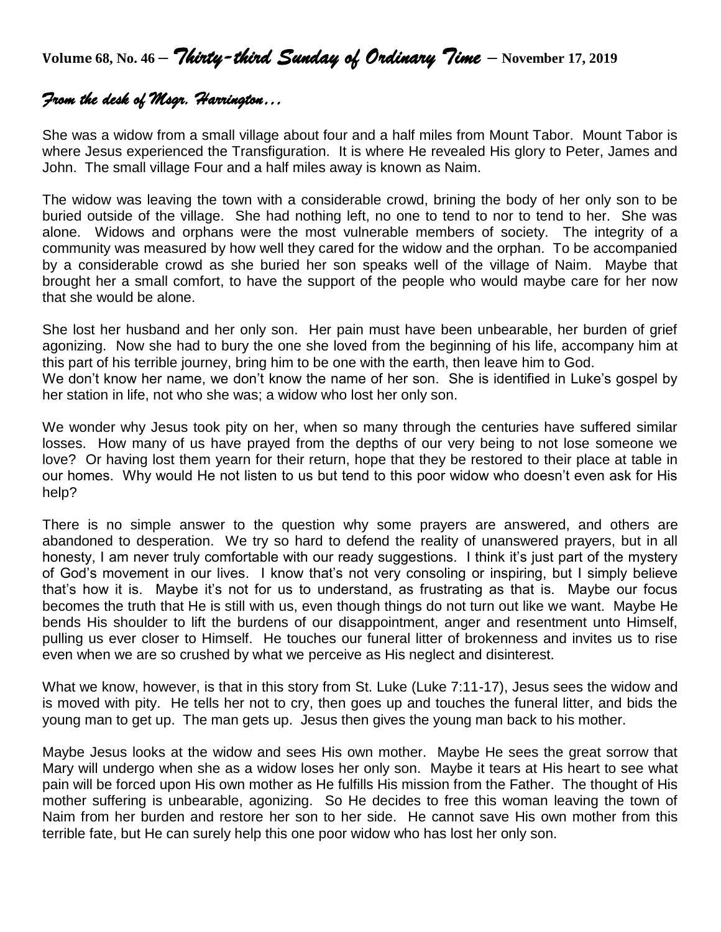**Volume 68, No. 46 –** *Thirty-third Sunday of Ordinary Time* **– November 17, <sup>2019</sup>**

## *From the desk of Msgr. Harrington…*

She was a widow from a small village about four and a half miles from Mount Tabor. Mount Tabor is where Jesus experienced the Transfiguration. It is where He revealed His glory to Peter, James and John. The small village Four and a half miles away is known as Naim.

The widow was leaving the town with a considerable crowd, brining the body of her only son to be buried outside of the village. She had nothing left, no one to tend to nor to tend to her. She was alone. Widows and orphans were the most vulnerable members of society. The integrity of a community was measured by how well they cared for the widow and the orphan. To be accompanied by a considerable crowd as she buried her son speaks well of the village of Naim. Maybe that brought her a small comfort, to have the support of the people who would maybe care for her now that she would be alone.

She lost her husband and her only son. Her pain must have been unbearable, her burden of grief agonizing. Now she had to bury the one she loved from the beginning of his life, accompany him at this part of his terrible journey, bring him to be one with the earth, then leave him to God. We don't know her name, we don't know the name of her son. She is identified in Luke's gospel by her station in life, not who she was; a widow who lost her only son.

We wonder why Jesus took pity on her, when so many through the centuries have suffered similar losses. How many of us have prayed from the depths of our very being to not lose someone we love? Or having lost them yearn for their return, hope that they be restored to their place at table in our homes. Why would He not listen to us but tend to this poor widow who doesn't even ask for His help?

There is no simple answer to the question why some prayers are answered, and others are abandoned to desperation. We try so hard to defend the reality of unanswered prayers, but in all honesty, I am never truly comfortable with our ready suggestions. I think it's just part of the mystery of God's movement in our lives. I know that's not very consoling or inspiring, but I simply believe that's how it is. Maybe it's not for us to understand, as frustrating as that is. Maybe our focus becomes the truth that He is still with us, even though things do not turn out like we want. Maybe He bends His shoulder to lift the burdens of our disappointment, anger and resentment unto Himself, pulling us ever closer to Himself. He touches our funeral litter of brokenness and invites us to rise even when we are so crushed by what we perceive as His neglect and disinterest.

What we know, however, is that in this story from St. Luke (Luke 7:11-17), Jesus sees the widow and is moved with pity. He tells her not to cry, then goes up and touches the funeral litter, and bids the young man to get up. The man gets up. Jesus then gives the young man back to his mother.

Maybe Jesus looks at the widow and sees His own mother. Maybe He sees the great sorrow that Mary will undergo when she as a widow loses her only son. Maybe it tears at His heart to see what pain will be forced upon His own mother as He fulfills His mission from the Father. The thought of His mother suffering is unbearable, agonizing. So He decides to free this woman leaving the town of Naim from her burden and restore her son to her side. He cannot save His own mother from this terrible fate, but He can surely help this one poor widow who has lost her only son.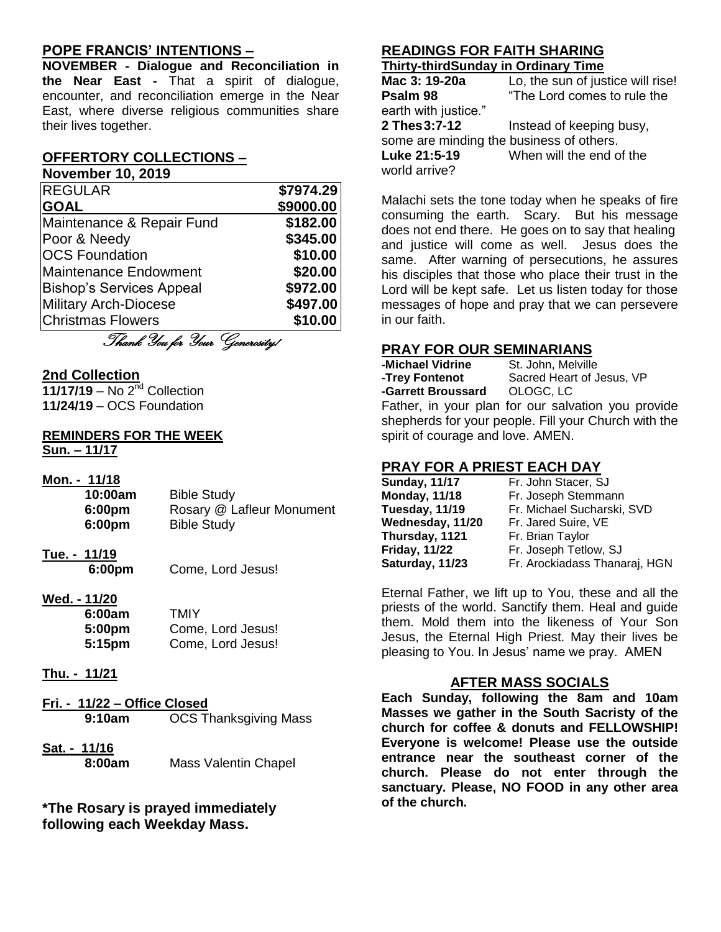## **POPE FRANCIS' INTENTIONS –**

**NOVEMBER - Dialogue and Reconciliation in the Near East -** That a spirit of dialogue, encounter, and reconciliation emerge in the Near East, where diverse religious communities share their lives together.

## **OFFERTORY COLLECTIONS –**

**November 10, 2019**

| <b>REGULAR</b>                  | \$7974.29 |
|---------------------------------|-----------|
| <b>GOAL</b>                     | \$9000.00 |
| Maintenance & Repair Fund       | \$182.00  |
| Poor & Needy                    | \$345.00  |
| <b>OCS Foundation</b>           | \$10.00   |
| <b>Maintenance Endowment</b>    | \$20.00   |
| <b>Bishop's Services Appeal</b> | \$972.00  |
| <b>Military Arch-Diocese</b>    | \$497.00  |
| <b>Christmas Flowers</b>        | \$10.00   |
| Thank You for Your Generosity!  |           |

#### **2nd Collection**

**11/17/19** – No 2nd Collection **11/24/19** – OCS Foundation

#### **REMINDERS FOR THE WEEK Sun. – 11/17**

| Mon. - 11/18 |                           |
|--------------|---------------------------|
| 10:00am      | <b>Bible Study</b>        |
| 6:00pm       | Rosary @ Lafleur Monument |
| 6:00pm       | <b>Bible Study</b>        |
|              |                           |

**Tue. - 11/19**

**6:00pm** Come, Lord Jesus!

**Wed. - 11/20**

| 6:00am | TMIY              |
|--------|-------------------|
| 5:00pm | Come, Lord Jesus! |
| 5:15pm | Come, Lord Jesus! |

- **Thu. - 11/21**
- **Fri. - 11/22 – Office Closed 9:10am** OCS Thanksgiving Mass
- **Sat. - 11/16 8:00am** Mass Valentin Chapel

**\*The Rosary is prayed immediately following each Weekday Mass.**

#### **READINGS FOR FAITH SHARING Thirty-thirdSunday in Ordinary Time**

| $\blacksquare$                           |                                   |
|------------------------------------------|-----------------------------------|
| Mac 3: 19-20a                            | Lo, the sun of justice will rise! |
| Psalm 98                                 | "The Lord comes to rule the       |
| earth with justice."                     |                                   |
| 2 Thes 3:7-12                            | Instead of keeping busy,          |
| some are minding the business of others. |                                   |
| Luke 21:5-19                             | When will the end of the          |
| world arrive?                            |                                   |
|                                          |                                   |

Malachi sets the tone today when he speaks of fire consuming the earth. Scary. But his message does not end there. He goes on to say that healing and justice will come as well. Jesus does the same. After warning of persecutions, he assures his disciples that those who place their trust in the Lord will be kept safe. Let us listen today for those messages of hope and pray that we can persevere in our faith.

### **PRAY FOR OUR SEMINARIANS**

**-Michael Vidrine** St. John, Melville<br>**-Trev Fontenot** Sacred Heart of J Sacred Heart of Jesus, VP<br>OLOGC. LC **-Garrett Broussard** Father, in your plan for our salvation you provide shepherds for your people. Fill your Church with the spirit of courage and love. AMEN.

## **PRAY FOR A PRIEST EACH DAY**

| <b>Sunday, 11/17</b> | Fr. John Stacer, SJ           |
|----------------------|-------------------------------|
| <b>Monday, 11/18</b> | Fr. Joseph Stemmann           |
| Tuesday, 11/19       | Fr. Michael Sucharski, SVD    |
| Wednesday, 11/20     | Fr. Jared Suire, VE           |
| Thursday, 1121       | Fr. Brian Taylor              |
| <b>Friday, 11/22</b> | Fr. Joseph Tetlow, SJ         |
| Saturday, 11/23      | Fr. Arockiadass Thanaraj, HGN |

Eternal Father, we lift up to You, these and all the priests of the world. Sanctify them. Heal and guide them. Mold them into the likeness of Your Son Jesus, the Eternal High Priest. May their lives be pleasing to You. In Jesus' name we pray. AMEN

#### **AFTER MASS SOCIALS**

**Each Sunday, following the 8am and 10am Masses we gather in the South Sacristy of the church for coffee & donuts and FELLOWSHIP! Everyone is welcome! Please use the outside entrance near the southeast corner of the church. Please do not enter through the sanctuary. Please, NO FOOD in any other area of the church.**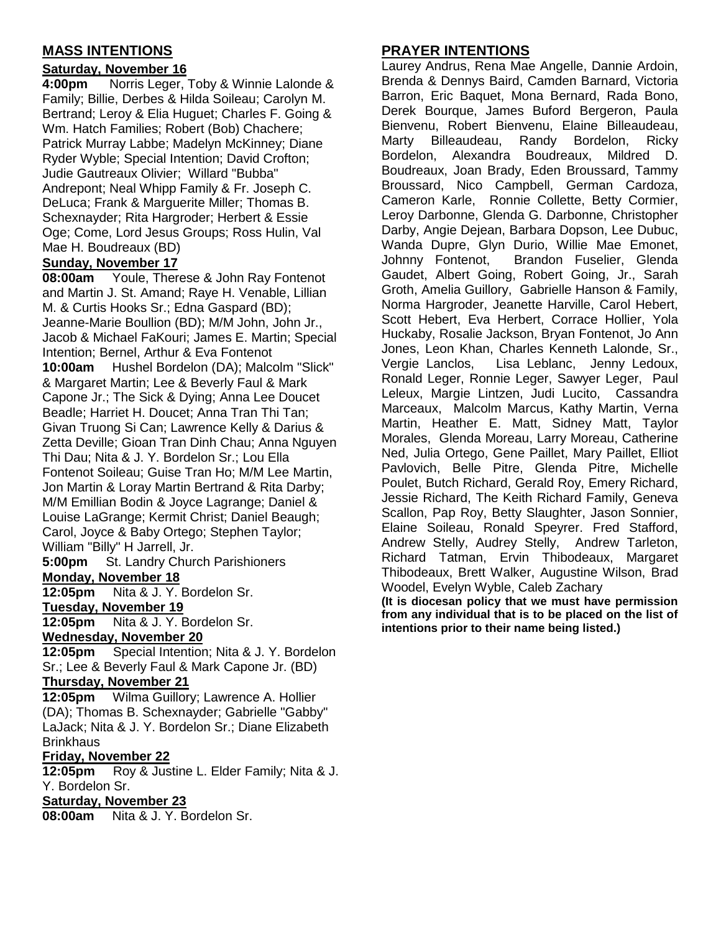## **MASS INTENTIONS**

### **Saturday, November 16**

**4:00pm** Norris Leger, Toby & Winnie Lalonde & Family; Billie, Derbes & Hilda Soileau; Carolyn M. Bertrand; Leroy & Elia Huguet; Charles F. Going & Wm. Hatch Families; Robert (Bob) Chachere; Patrick Murray Labbe; Madelyn McKinney; Diane Ryder Wyble; Special Intention; David Crofton; Judie Gautreaux Olivier; Willard "Bubba" Andrepont; Neal Whipp Family & Fr. Joseph C. DeLuca; Frank & Marguerite Miller; Thomas B. Schexnayder; Rita Hargroder; Herbert & Essie Oge; Come, Lord Jesus Groups; Ross Hulin, Val Mae H. Boudreaux (BD)

#### **Sunday, November 17**

**08:00am** Youle, Therese & John Ray Fontenot and Martin J. St. Amand; Raye H. Venable, Lillian M. & Curtis Hooks Sr.; Edna Gaspard (BD); Jeanne-Marie Boullion (BD); M/M John, John Jr., Jacob & Michael FaKouri; James E. Martin; Special Intention; Bernel, Arthur & Eva Fontenot **10:00am** Hushel Bordelon (DA); Malcolm "Slick"

& Margaret Martin; Lee & Beverly Faul & Mark Capone Jr.; The Sick & Dying; Anna Lee Doucet Beadle; Harriet H. Doucet; Anna Tran Thi Tan; Givan Truong Si Can; Lawrence Kelly & Darius & Zetta Deville; Gioan Tran Dinh Chau; Anna Nguyen Thi Dau; Nita & J. Y. Bordelon Sr.; Lou Ella Fontenot Soileau; Guise Tran Ho; M/M Lee Martin, Jon Martin & Loray Martin Bertrand & Rita Darby; M/M Emillian Bodin & Joyce Lagrange; Daniel & Louise LaGrange; Kermit Christ; Daniel Beaugh; Carol, Joyce & Baby Ortego; Stephen Taylor; William "Billy" H Jarrell, Jr.

**5:00pm** St. Landry Church Parishioners **Monday, November 18**

**12:05pm** Nita & J. Y. Bordelon Sr.

#### **Tuesday, November 19**

**12:05pm** Nita & J. Y. Bordelon Sr.

#### **Wednesday, November 20**

**12:05pm** Special Intention; Nita & J. Y. Bordelon Sr.; Lee & Beverly Faul & Mark Capone Jr. (BD)

#### **Thursday, November 21**

**12:05pm** Wilma Guillory; Lawrence A. Hollier (DA); Thomas B. Schexnayder; Gabrielle "Gabby" LaJack; Nita & J. Y. Bordelon Sr.; Diane Elizabeth **Brinkhaus** 

#### **Friday, November 22**

**12:05pm** Roy & Justine L. Elder Family; Nita & J. Y. Bordelon Sr.

#### **Saturday, November 23**

**08:00am** Nita & J. Y. Bordelon Sr.

## **PRAYER INTENTIONS**

Laurey Andrus, Rena Mae Angelle, Dannie Ardoin, Brenda & Dennys Baird, Camden Barnard, Victoria Barron, Eric Baquet, Mona Bernard, Rada Bono, Derek Bourque, James Buford Bergeron, Paula Bienvenu, Robert Bienvenu, Elaine Billeaudeau, Marty Billeaudeau, Randy Bordelon, Ricky Bordelon, Alexandra Boudreaux, Mildred D. Boudreaux, Joan Brady, Eden Broussard, Tammy Broussard, Nico Campbell, German Cardoza, Cameron Karle, Ronnie Collette, Betty Cormier, Leroy Darbonne, Glenda G. Darbonne, Christopher Darby, Angie Dejean, Barbara Dopson, Lee Dubuc, Wanda Dupre, Glyn Durio, Willie Mae Emonet, Johnny Fontenot, Brandon Fuselier, Glenda Gaudet, Albert Going, Robert Going, Jr., Sarah Groth, Amelia Guillory, Gabrielle Hanson & Family, Norma Hargroder, Jeanette Harville, Carol Hebert, Scott Hebert, Eva Herbert, Corrace Hollier, Yola Huckaby, Rosalie Jackson, Bryan Fontenot, Jo Ann Jones, Leon Khan, Charles Kenneth Lalonde, Sr., Vergie Lanclos, Lisa Leblanc, Jenny Ledoux, Ronald Leger, Ronnie Leger, Sawyer Leger, Paul Leleux, Margie Lintzen, Judi Lucito, Cassandra Marceaux, Malcolm Marcus, Kathy Martin, Verna Martin, Heather E. Matt, Sidney Matt, Taylor Morales, Glenda Moreau, Larry Moreau, Catherine Ned, Julia Ortego, Gene Paillet, Mary Paillet, Elliot Pavlovich, Belle Pitre, Glenda Pitre, Michelle Poulet, Butch Richard, Gerald Roy, Emery Richard, Jessie Richard, The Keith Richard Family, Geneva Scallon, Pap Roy, Betty Slaughter, Jason Sonnier, Elaine Soileau, Ronald Speyrer. Fred Stafford, Andrew Stelly, Audrey Stelly, Andrew Tarleton, Richard Tatman, Ervin Thibodeaux, Margaret Thibodeaux, Brett Walker, Augustine Wilson, Brad Woodel, Evelyn Wyble, Caleb Zachary

**(It is diocesan policy that we must have permission from any individual that is to be placed on the list of intentions prior to their name being listed.)**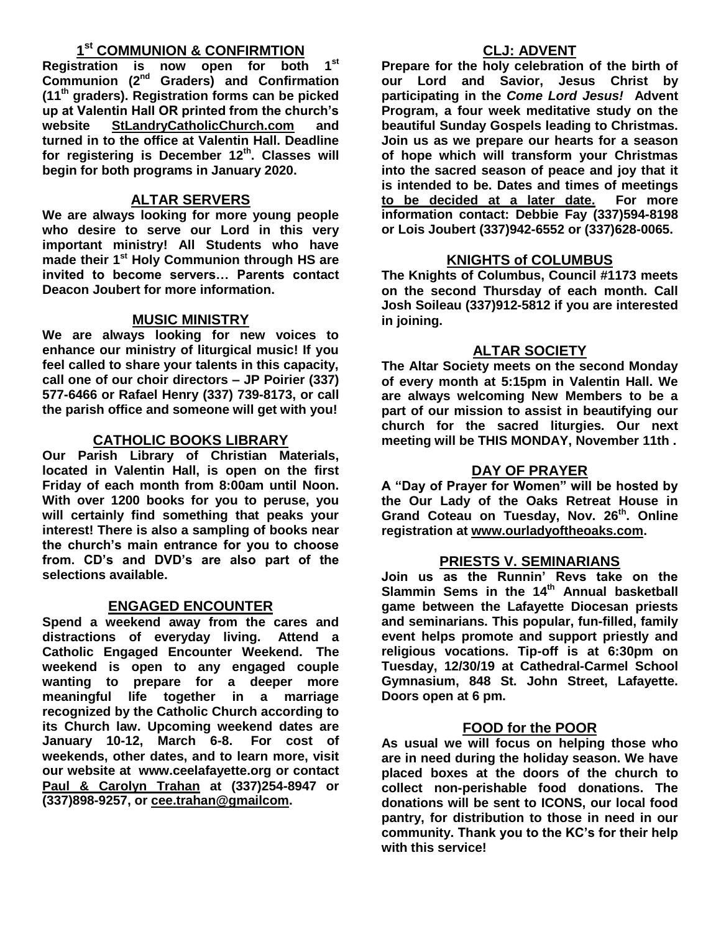## **1 st COMMUNION & CONFIRMTION**

**Registration is now open for both 1st Communion (2nd Graders) and Confirmation (11th graders). Registration forms can be picked up at Valentin Hall OR printed from the church's website StLandryCatholicChurch.com and turned in to the office at Valentin Hall. Deadline for registering is December 12th. Classes will begin for both programs in January 2020.**

## **ALTAR SERVERS**

**We are always looking for more young people who desire to serve our Lord in this very important ministry! All Students who have made their 1st Holy Communion through HS are invited to become servers… Parents contact Deacon Joubert for more information.**

## **MUSIC MINISTRY**

**We are always looking for new voices to enhance our ministry of liturgical music! If you feel called to share your talents in this capacity, call one of our choir directors – JP Poirier (337) 577-6466 or Rafael Henry (337) 739-8173, or call the parish office and someone will get with you!**

## **CATHOLIC BOOKS LIBRARY**

**Our Parish Library of Christian Materials, located in Valentin Hall, is open on the first Friday of each month from 8:00am until Noon. With over 1200 books for you to peruse, you will certainly find something that peaks your interest! There is also a sampling of books near the church's main entrance for you to choose from. CD's and DVD's are also part of the selections available.** 

## **ENGAGED ENCOUNTER**

**Spend a weekend away from the cares and distractions of everyday living. Attend a Catholic Engaged Encounter Weekend. The weekend is open to any engaged couple wanting to prepare for a deeper more meaningful life together in a marriage recognized by the Catholic Church according to its Church law. Upcoming weekend dates are January 10-12, March 6-8. For cost of weekends, other dates, and to learn more, visit our website at www.ceelafayette.org or contact Paul & Carolyn Trahan at (337)254-8947 or (337)898-9257, or [cee.trahan@gmailcom.](mailto:cee.trahan@gmailcom)**

## **CLJ: ADVENT**

**Prepare for the holy celebration of the birth of our Lord and Savior, Jesus Christ by participating in the** *Come Lord Jesus!* **Advent Program, a four week meditative study on the beautiful Sunday Gospels leading to Christmas. Join us as we prepare our hearts for a season of hope which will transform your Christmas into the sacred season of peace and joy that it is intended to be. Dates and times of meetings to be decided at a later date. For more information contact: Debbie Fay (337)594-8198 or Lois Joubert (337)942-6552 or (337)628-0065.**

## **KNIGHTS of COLUMBUS**

**The Knights of Columbus, Council #1173 meets on the second Thursday of each month. Call Josh Soileau (337)912-5812 if you are interested in joining.** 

### **ALTAR SOCIETY**

**The Altar Society meets on the second Monday of every month at 5:15pm in Valentin Hall. We are always welcoming New Members to be a part of our mission to assist in beautifying our church for the sacred liturgies. Our next meeting will be THIS MONDAY, November 11th .** 

### **DAY OF PRAYER**

**A "Day of Prayer for Women" will be hosted by the Our Lady of the Oaks Retreat House in Grand Coteau on Tuesday, Nov. 26th. Online registration at [www.ourladyoftheoaks.com.](http://www.ourladyoftheoaks.com/)**

## **PRIESTS V. SEMINARIANS**

**Join us as the Runnin' Revs take on the Slammin Sems in the 14 th Annual basketball game between the Lafayette Diocesan priests and seminarians. This popular, fun-filled, family event helps promote and support priestly and religious vocations. Tip-off is at 6:30pm on Tuesday, 12/30/19 at Cathedral-Carmel School Gymnasium, 848 St. John Street, Lafayette. Doors open at 6 pm.** 

## **FOOD for the POOR**

**As usual we will focus on helping those who are in need during the holiday season. We have placed boxes at the doors of the church to collect non-perishable food donations. The donations will be sent to ICONS, our local food pantry, for distribution to those in need in our community. Thank you to the KC's for their help with this service!**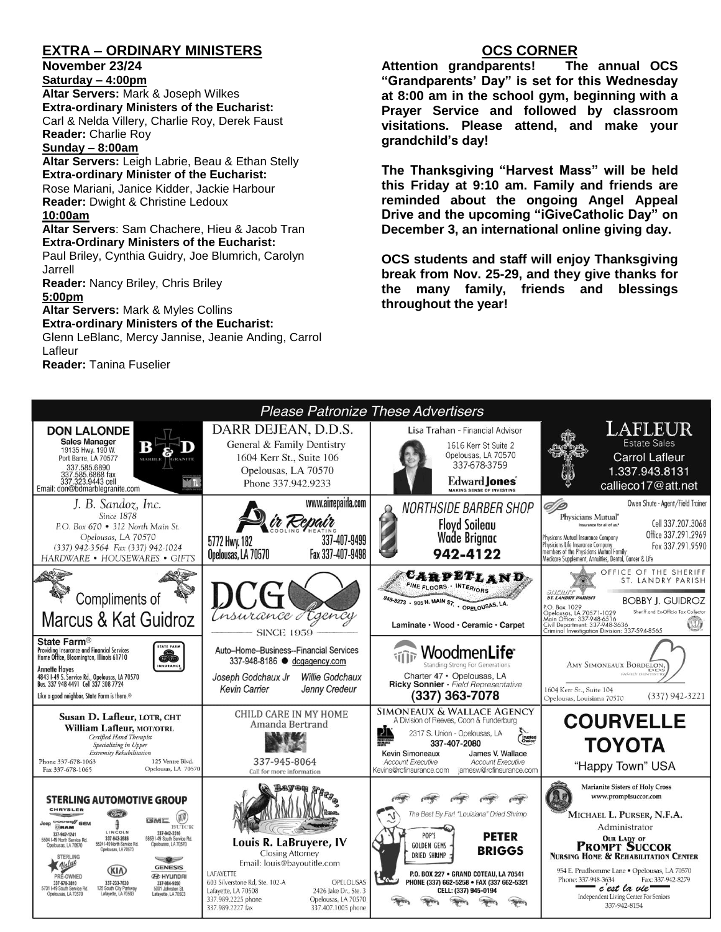## **EXTRA – ORDINARY MINISTERS**

#### **November 23/24**

**Saturday – 4:00pm** 

**Altar Servers:** Mark & Joseph Wilkes **Extra-ordinary Ministers of the Eucharist:**  Carl & Nelda Villery, Charlie Roy, Derek Faust **Reader:** Charlie Roy

#### **Sunday – 8:00am**

**Altar Servers:** Leigh Labrie, Beau & Ethan Stelly **Extra-ordinary Minister of the Eucharist:** Rose Mariani, Janice Kidder, Jackie Harbour

**Reader:** Dwight & Christine Ledoux **10:00am**

**Altar Servers**: Sam Chachere, Hieu & Jacob Tran **Extra-Ordinary Ministers of the Eucharist:**

Paul Briley, Cynthia Guidry, Joe Blumrich, Carolyn Jarrell

**Reader:** Nancy Briley, Chris Briley

#### **5:00pm**

**Altar Servers:** Mark & Myles Collins **Extra-ordinary Ministers of the Eucharist:** Glenn LeBlanc, Mercy Jannise, Jeanie Anding, Carrol Lafleur

**Reader:** Tanina Fuselier

## **OCS CORNER**

**Attention grandparents! The annual OCS "Grandparents' Day" is set for this Wednesday at 8:00 am in the school gym, beginning with a Prayer Service and followed by classroom visitations. Please attend, and make your grandchild's day!**

**The Thanksgiving "Harvest Mass" will be held this Friday at 9:10 am. Family and friends are reminded about the ongoing Angel Appeal Drive and the upcoming "iGiveCatholic Day" on December 3, an international online giving day.**

**OCS students and staff will enjoy Thanksgiving break from Nov. 25-29, and they give thanks for the many family, friends and blessings throughout the year!**